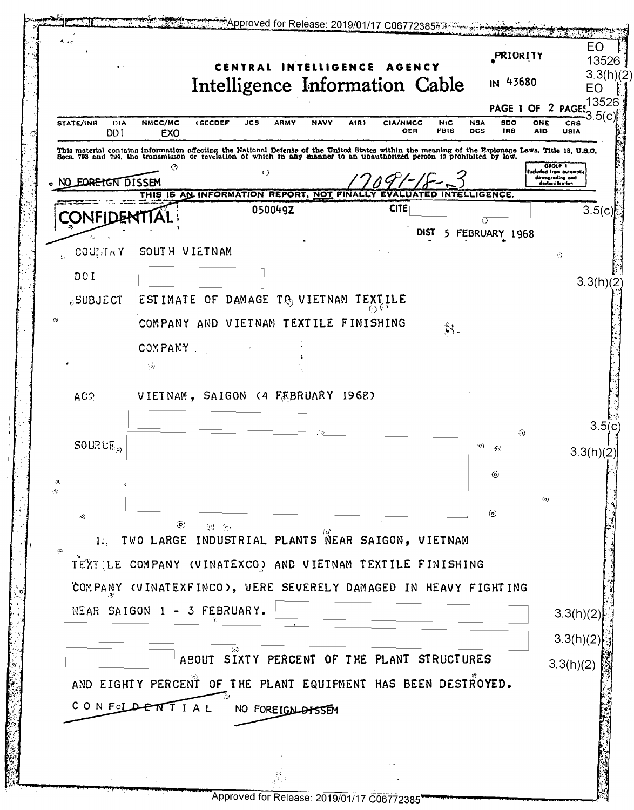<del>شرق 2019/01/17 C06772385 من Approved</del> for Release: 2019/01/17 C06772385 EΟ PRIORITY 13526 CENTRAL INTELLIGENCE AGENCY  $3.3(h)/2$ Intelligence Information Cable IN 43680 EO 13526 PAGE 1 OF 2 PAGE STATE/INR  $\overline{m}$ NMCC/MC  $t$  SECDEP  $M<sub>1</sub>$ **NSA** soo  $_{CRS}$ in 9 **ADMY** AIR) **CIA/NMCC** ONE OER FBIS **DCS** IRS AID USIA DD I **EXO** This material contains information affecting the National Defense of the United States within the meaning of the Espionage Laws, Title 18, U.S.C.<br>Becs, 793 and 794, the transmisson or revolation of which in any manner to a <sup>dudağ fir</sup>  $\left( \right)$ .<br>Owngreding and<br>declassification NO EQRETGN DISSEM THIS IS AN INFORMATION REPORT, NOT FINALLY **INTELLIGENCE CITE** 050049Z  $3.5(c)$ CONFIDENTIA 70 5 FEBRUARY 1968 **DIST**  $COU/TN$   $Y$ SOUTH VIETNAM  $\ddot{\Omega}$ DO I  $3.3(h)(2)$ ESTIMATE OF DAMAGE TO VIETNAM TEXTILE **SUBJECT** COMPANY AND VIETNAM TEXTILE FINISHING  $\mathfrak{K}_-$ COMPANY  $\langle \hat{\beta} \rangle$ VIETNAM, SAIGON (4 FEBRUARY 1962) AC? 3.5(c ෬ **SOURCE.** (o)  $\omega$  $3.3(h)(2)$ 6  $\omega$  $\langle 6 \rangle$ 砂(h) TWO LARGE INDUSTRIAL PLANTS NEAR SAIGON, VIETNAM  $1:$ TEXTILE COMPANY (VINATEXCO) AND VIETNAM TEXTILE FINISHING COMPANY (VINATEXFINCO), WERE SEVERELY DAMAGED IN HEAVY FIGHTING NEAR SAIGON 1 - 3 FEBRUARY.  $3.3(h)(2)$  $3.3(h)(2)$ ABOUT SIXTY PERCENT OF THE PLANT STRUCTURES  $3.3(h)(2)$ AND EIGHTY PERCENT OF THE PLANT EQUIPMENT HAS BEEN DESTROYED. CONFOLDENTIAL NO FOREIGN BISSEM

Approved for Release: 2019/01/17 C06772385